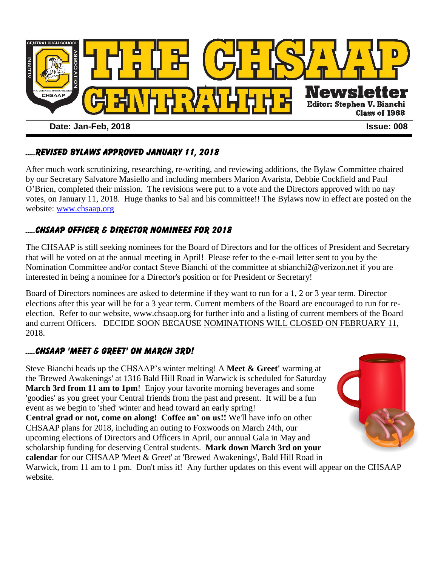

### …..Revised bylaws approved January 11, 2018

After much work scrutinizing, researching, re-writing, and reviewing additions, the Bylaw Committee chaired by our Secretary Salvatore Masiello and including members Marion Avarista, Debbie Cockfield and Paul O'Brien, completed their mission. The revisions were put to a vote and the Directors approved with no nay votes, on January 11, 2018. Huge thanks to Sal and his committee!! The Bylaws now in effect are posted on the website: [www.chsaap.org](http://www.chsaap.org/)

#### .....CHSAAP OFFICER & DIRECTOR NOMINEES FOR 2018

The CHSAAP is still seeking nominees for the Board of Directors and for the offices of President and Secretary that will be voted on at the annual meeting in April! Please refer to the e-mail letter sent to you by the Nomination Committee and/or contact Steve Bianchi of the committee at sbianchi2@verizon.net if you are interested in being a nominee for a Director's position or for President or Secretary!

Board of Directors nominees are asked to determine if they want to run for a 1, 2 or 3 year term. Director elections after this year will be for a 3 year term. Current members of the Board are encouraged to run for reelection. Refer to our website, [www.chsaap.org](file:///C:/Documents%20and%20Settings/User/My%20Documents/Central%20Alumni%20Association/www.chsaap.org) for further info and a listing of current members of the Board and current Officers. DECIDE SOON BECAUSE NOMINATIONS WILL CLOSED ON FEBRUARY 11, 2018.

### .....CHSAAP 'MEET & GREET' ON MARCH 3rd!

Steve Bianchi heads up the CHSAAP's winter melting! A **Meet & Greet'** warming at the 'Brewed Awakenings' at 1316 Bald Hill Road in Warwick is scheduled for Saturday **March 3rd from 11 am to 1pm!** Enjoy your favorite morning beverages and some 'goodies' as you greet your Central friends from the past and present. It will be a fun event as we begin to 'shed' winter and head toward an early spring! **Central grad or not, come on along! Coffee an' on us!!** We'll have info on other CHSAAP plans for 2018, including an outing to Foxwoods on March 24th, our upcoming elections of Directors and Officers in April, our annual Gala in May and scholarship funding for deserving Central students. **Mark down March 3rd on your calendar** for our CHSAAP 'Meet & Greet' at 'Brewed Awakenings', Bald Hill Road in Warwick, from 11 am to 1 pm. Don't miss it! Any further updates on this event will appear on the CHSAAP website.